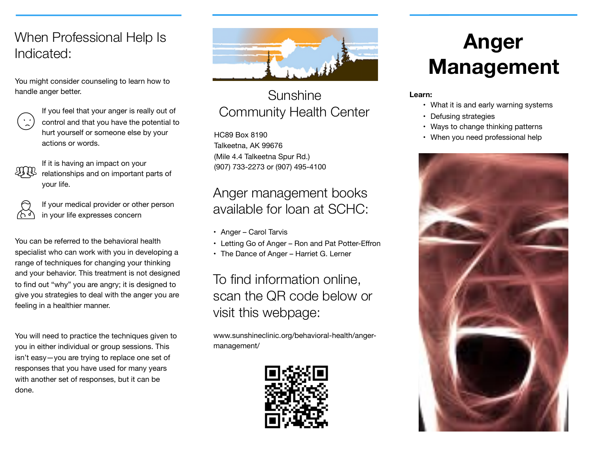#### When Professional Help Is Indicated:

You might consider counseling to learn how to handle anger better.



If you feel that your anger is really out of control and that you have the potential to hurt yourself or someone else by your actions or words.



If it is having an impact on your relationships and on important parts of your life.



If your medical provider or other person in your life expresses concern

You can be referred to the behavioral health specialist who can work with you in developing a range of techniques for changing your thinking and your behavior. This treatment is not designed to find out "why" you are angry; it is designed to give you strategies to deal with the anger you are feeling in a healthier manner.

You will need to practice the techniques given to you in either individual or group sessions. This isn't easy—you are trying to replace one set of responses that you have used for many years with another set of responses, but it can be done.



## Sunshine Community Health Center

HC89 Box 8190 Talkeetna, AK 99676 (Mile 4.4 Talkeetna Spur Rd.) (907) 733-2273 or (907) 495-4100

#### Anger management books available for loan at SCHC:

- Anger Carol Tarvis
- Letting Go of Anger Ron and Pat Potter-Effron
- The Dance of Anger Harriet G. Lerner

To find information online, scan the QR code below or visit this webpage:

www.sunshineclinic.org/behavioral-health/angermanagement/



# **Anger Management**

#### **Learn:**

- What it is and early warning systems
- Defusing strategies
- Ways to change thinking patterns
- When you need professional help